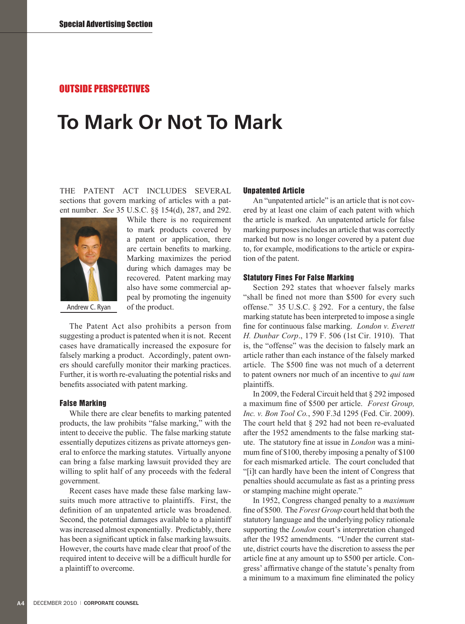## OUTSIDE PERSPECTIVES

# **To Mark Or Not To Mark**

The Patent Act includes several sections that govern marking of articles with a patent number. *See* 35 U.S.C. §§ 154(d), 287, and 292.



Andrew C. Ryan

While there is no requirement to mark products covered by a patent or application, there are certain benefits to marking. Marking maximizes the period during which damages may be recovered. Patent marking may also have some commercial appeal by promoting the ingenuity of the product.

The Patent Act also prohibits a person from suggesting a product is patented when it is not. Recent cases have dramatically increased the exposure for falsely marking a product. Accordingly, patent owners should carefully monitor their marking practices. Further, it is worth re-evaluating the potential risks and benefits associated with patent marking.

#### False Marking

While there are clear benefits to marking patented products, the law prohibits "false marking," with the intent to deceive the public. The false marking statute essentially deputizes citizens as private attorneys general to enforce the marking statutes. Virtually anyone can bring a false marking lawsuit provided they are willing to split half of any proceeds with the federal government.

Recent cases have made these false marking lawsuits much more attractive to plaintiffs. First, the definition of an unpatented article was broadened. Second, the potential damages available to a plaintiff was increased almost exponentially. Predictably, there has been a significant uptick in false marking lawsuits. However, the courts have made clear that proof of the required intent to deceive will be a difficult hurdle for a plaintiff to overcome.

## Unpatented Article

An "unpatented article" is an article that is not covered by at least one claim of each patent with which the article is marked. An unpatented article for false marking purposes includes an article that was correctly marked but now is no longer covered by a patent due to, for example, modifications to the article or expiration of the patent.

#### Statutory Fines For False Marking

Section 292 states that whoever falsely marks "shall be fined not more than \$500 for every such offense." 35 U.S.C. § 292. For a century, the false marking statute has been interpreted to impose a single fine for continuous false marking. *London v. Everett H. Dunbar Corp*., 179 F. 506 (1st Cir. 1910). That is, the "offense" was the decision to falsely mark an article rather than each instance of the falsely marked article. The \$500 fine was not much of a deterrent to patent owners nor much of an incentive to *qui tam*  plaintiffs.

In 2009, the Federal Circuit held that § 292 imposed a maximum fine of \$500 per article. *Forest Group, Inc. v. Bon Tool Co.*, 590 F.3d 1295 (Fed. Cir. 2009). The court held that § 292 had not been re-evaluated after the 1952 amendments to the false marking statute. The statutory fine at issue in *London* was a minimum fine of \$100, thereby imposing a penalty of \$100 for each mismarked article. The court concluded that "[i]t can hardly have been the intent of Congress that penalties should accumulate as fast as a printing press or stamping machine might operate."

In 1952, Congress changed penalty to a *maximum*  fine of \$500. The *Forest Group* court held that both the statutory language and the underlying policy rationale supporting the *London* court's interpretation changed after the 1952 amendments. "Under the current statute, district courts have the discretion to assess the per article fine at any amount up to \$500 per article. Congress' affirmative change of the statute's penalty from a minimum to a maximum fine eliminated the policy